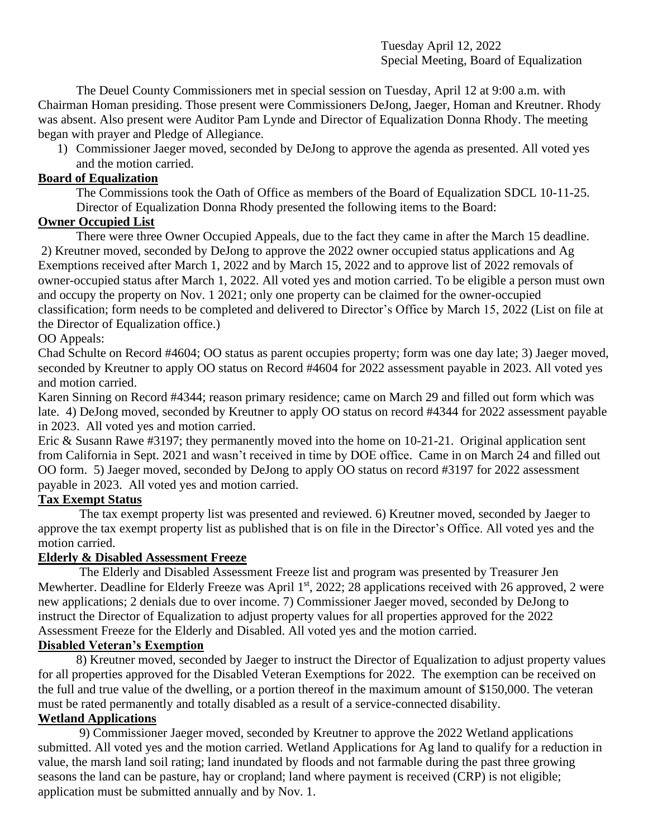Tuesday April 12, 2022 Special Meeting, Board of Equalization

The Deuel County Commissioners met in special session on Tuesday, April 12 at 9:00 a.m. with Chairman Homan presiding. Those present were Commissioners DeJong, Jaeger, Homan and Kreutner. Rhody was absent. Also present were Auditor Pam Lynde and Director of Equalization Donna Rhody. The meeting began with prayer and Pledge of Allegiance.

1) Commissioner Jaeger moved, seconded by DeJong to approve the agenda as presented. All voted yes and the motion carried.

## **Board of Equalization**

The Commissions took the Oath of Office as members of the Board of Equalization SDCL 10-11-25. Director of Equalization Donna Rhody presented the following items to the Board:

## **Owner Occupied List**

There were three Owner Occupied Appeals, due to the fact they came in after the March 15 deadline. 2) Kreutner moved, seconded by DeJong to approve the 2022 owner occupied status applications and Ag Exemptions received after March 1, 2022 and by March 15, 2022 and to approve list of 2022 removals of owner-occupied status after March 1, 2022. All voted yes and motion carried. To be eligible a person must own and occupy the property on Nov. 1 2021; only one property can be claimed for the owner-occupied classification; form needs to be completed and delivered to Director's Office by March 15, 2022 (List on file at the Director of Equalization office.)

## OO Appeals:

Chad Schulte on Record #4604; OO status as parent occupies property; form was one day late; 3) Jaeger moved, seconded by Kreutner to apply OO status on Record #4604 for 2022 assessment payable in 2023. All voted yes and motion carried.

Karen Sinning on Record #4344; reason primary residence; came on March 29 and filled out form which was late. 4) DeJong moved, seconded by Kreutner to apply OO status on record #4344 for 2022 assessment payable in 2023. All voted yes and motion carried.

Eric & Susann Rawe #3197; they permanently moved into the home on 10-21-21. Original application sent from California in Sept. 2021 and wasn't received in time by DOE office. Came in on March 24 and filled out OO form. 5) Jaeger moved, seconded by DeJong to apply OO status on record #3197 for 2022 assessment payable in 2023. All voted yes and motion carried.

## **Tax Exempt Status**

The tax exempt property list was presented and reviewed. 6) Kreutner moved, seconded by Jaeger to approve the tax exempt property list as published that is on file in the Director's Office. All voted yes and the motion carried.

## **Elderly & Disabled Assessment Freeze**

The Elderly and Disabled Assessment Freeze list and program was presented by Treasurer Jen Mewherter. Deadline for Elderly Freeze was April 1<sup>st</sup>, 2022; 28 applications received with 26 approved, 2 were new applications; 2 denials due to over income. 7) Commissioner Jaeger moved, seconded by DeJong to instruct the Director of Equalization to adjust property values for all properties approved for the 2022 Assessment Freeze for the Elderly and Disabled. All voted yes and the motion carried.

# **Disabled Veteran's Exemption**

8) Kreutner moved, seconded by Jaeger to instruct the Director of Equalization to adjust property values for all properties approved for the Disabled Veteran Exemptions for 2022. The exemption can be received on the full and true value of the dwelling, or a portion thereof in the maximum amount of \$150,000. The veteran must be rated permanently and totally disabled as a result of a service-connected disability.

# **Wetland Applications**

9) Commissioner Jaeger moved, seconded by Kreutner to approve the 2022 Wetland applications submitted. All voted yes and the motion carried. Wetland Applications for Ag land to qualify for a reduction in value, the marsh land soil rating; land inundated by floods and not farmable during the past three growing seasons the land can be pasture, hay or cropland; land where payment is received (CRP) is not eligible; application must be submitted annually and by Nov. 1.